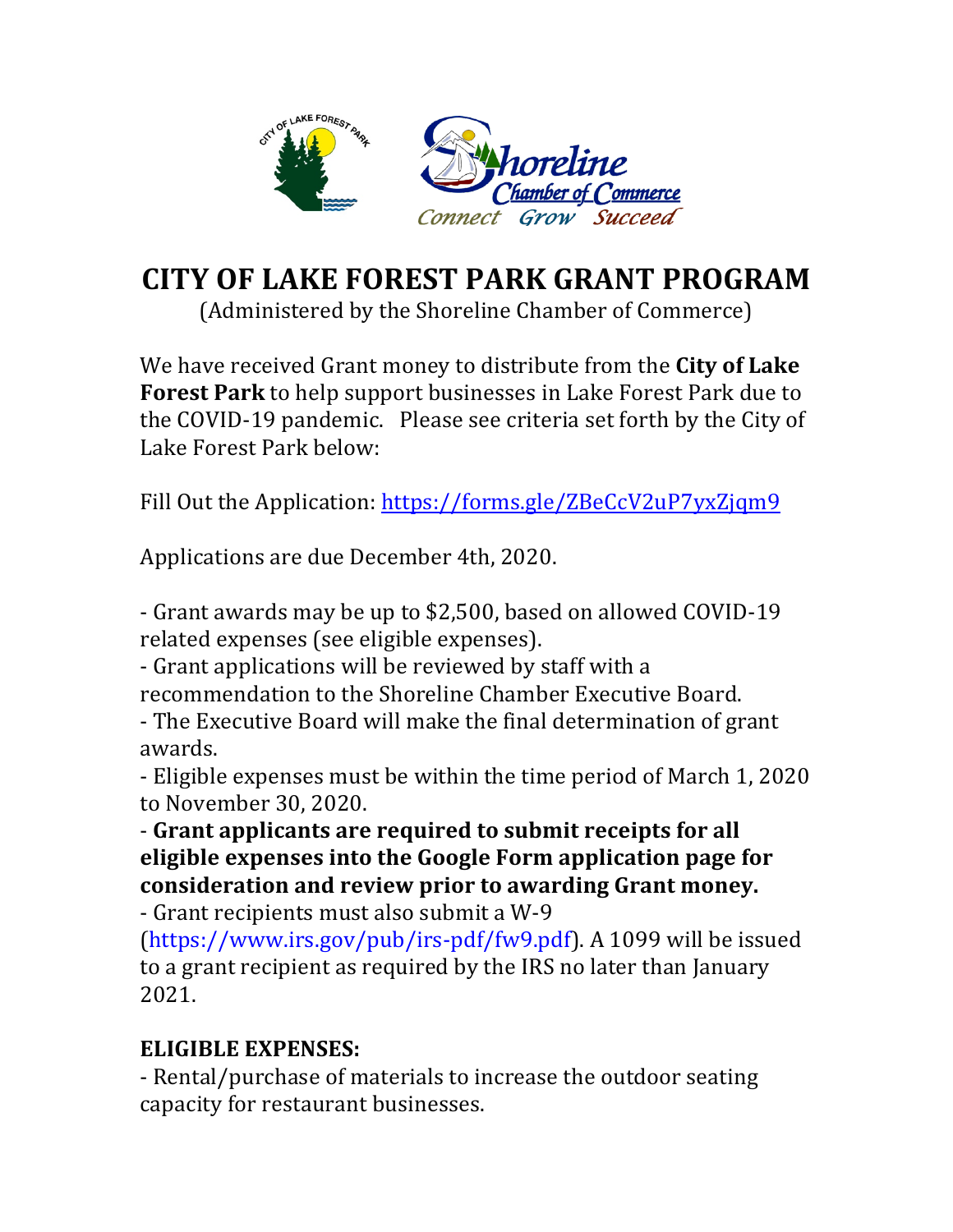

## **CITY OF LAKE FOREST PARK GRANT PROGRAM**

(Administered by the Shoreline Chamber of Commerce)

We have received Grant money to distribute from the **City of Lake Forest Park** to help support businesses in Lake Forest Park due to the COVID-19 pandemic. Please see criteria set forth by the City of Lake Forest Park below:

Fill Out the Application: https://forms.gle/ZBeCcV2uP7yxZjqm9

Applications are due December 4th, 2020.

- Grant awards may be up to \$2,500, based on allowed COVID-19 related expenses (see eligible expenses).

- Grant applications will be reviewed by staff with a recommendation to the Shoreline Chamber Executive Board.

- The Executive Board will make the final determination of grant awards.

- Eligible expenses must be within the time period of March 1, 2020 to November 30, 2020.

- Grant applicants are required to submit receipts for all **eligible expenses into the Google Form application page for** consideration and review prior to awarding Grant money.

- Grant recipients must also submit a W-9

 $(htips://www.irs.gov/pub/irs.pdf/fw9.pdf$ . A 1099 will be issued to a grant recipient as required by the IRS no later than January 2021.

## **ELIGIBLE EXPENSES:**

- Rental/purchase of materials to increase the outdoor seating capacity for restaurant businesses.